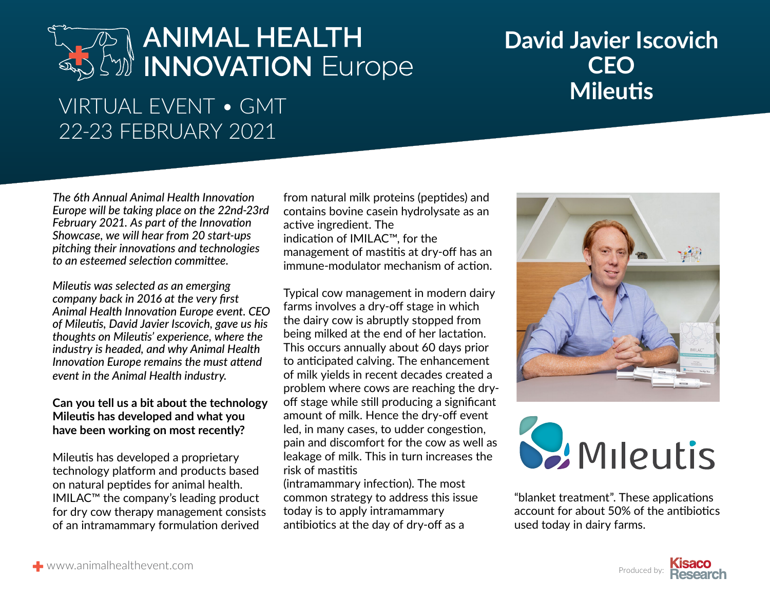# **MIMAL HEALTH David Javier Ise (NATION Europe CEO**<br>
VIRTUAL EVENT • GMT

### **David Javier Iscovich CEO**

### 22-23 FEBRUARY 2021

*The 6th Annual Animal Health Innovation Europe will be taking place on the 22nd-23rd February 2021. As part of the Innovation Showcase, we will hear from 20 start-ups pitching their innovations and technologies to an esteemed selection committee.* 

*Mileutis was selected as an emerging company back in 2016 at the very first Animal Health Innovation Europe event. CEO of Mileutis, David Javier Iscovich, gave us his thoughts on Mileutis' experience, where the industry is headed, and why Animal Health Innovation Europe remains the must attend event in the Animal Health industry.*

#### **Can you tell us a bit about the technology Mileutis has developed and what you have been working on most recently?**

Mileutis has developed a proprietary technology platform and products based on natural peptides for animal health. IMILAC™ the company's leading product for dry cow therapy management consists of an intramammary formulation derived

from natural milk proteins (peptides) and contains bovine casein hydrolysate as an active ingredient. The indication of IMILAC™, for the management of mastitis at dry-off has an immune-modulator mechanism of action.

Typical cow management in modern dairy farms involves a dry-off stage in which the dairy cow is abruptly stopped from being milked at the end of her lactation. This occurs annually about 60 days prior to anticipated calving. The enhancement of milk yields in recent decades created a problem where cows are reaching the dryoff stage while still producing a significant amount of milk. Hence the dry-off event led, in many cases, to udder congestion, pain and discomfort for the cow as well as leakage of milk. This in turn increases the risk of mastitis

(intramammary infection). The most common strategy to address this issue today is to apply intramammary antibiotics at the day of dry-off as a



## **S.** Mileutis

"blanket treatment". These applications account for about 50% of the antibiotics used today in dairy farms.

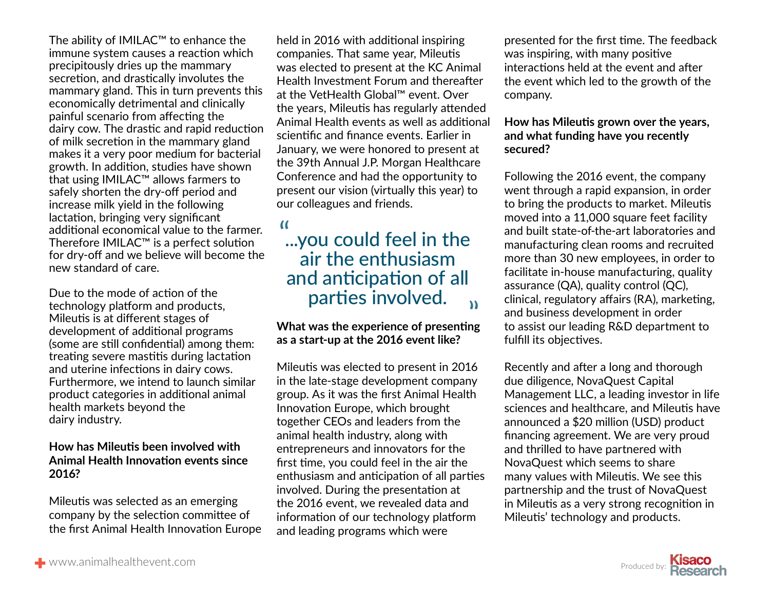The ability of IMILAC™ to enhance the immune system causes a reaction which precipitously dries up the mammary secretion, and drastically involutes the mammary gland. This in turn prevents this economically detrimental and clinically painful scenario from affecting the dairy cow. The drastic and rapid reduction of milk secretion in the mammary gland makes it a very poor medium for bacterial growth. In addition, studies have shown that using IMILAC™ allows farmers to safely shorten the dry-off period and increase milk yield in the following lactation, bringing very significant additional economical value to the farmer. Therefore IMILAC™ is a perfect solution for dry-off and we believe will become the new standard of care.

Due to the mode of action of the technology platform and products, Mileutis is at different stages of development of additional programs (some are still confidential) among them: treating severe mastitis during lactation and uterine infections in dairy cows. Furthermore, we intend to launch similar product categories in additional animal health markets beyond the dairy industry.

#### **How has Mileutis been involved with Animal Health Innovation events since 2016?**

Mileutis was selected as an emerging company by the selection committee of the first Animal Health Innovation Europe held in 2016 with additional inspiring companies. That same year, Mileutis was elected to present at the KC Animal Health Investment Forum and thereafter at the VetHealth Global™ event. Over the years, Mileutis has regularly attended Animal Health events as well as additional scientific and finance events. Earlier in January, we were honored to present at the 39th Annual J.P. Morgan Healthcare Conference and had the opportunity to present our vision (virtually this year) to our colleagues and friends.

#### ...you could feel in the " air the enthusiasm and anticipation of all parties involved. "

#### **What was the experience of presenting as a start-up at the 2016 event like?**

Mileutis was elected to present in 2016 in the late-stage development company group. As it was the first Animal Health Innovation Europe, which brought together CEOs and leaders from the animal health industry, along with entrepreneurs and innovators for the first time, you could feel in the air the enthusiasm and anticipation of all parties involved. During the presentation at the 2016 event, we revealed data and information of our technology platform and leading programs which were

presented for the first time. The feedback was inspiring, with many positive interactions held at the event and after the event which led to the growth of the company.

#### **How has Mileutis grown over the years, and what funding have you recently secured?**

Following the 2016 event, the company went through a rapid expansion, in order to bring the products to market. Mileutis moved into a 11,000 square feet facility and built state-of-the-art laboratories and manufacturing clean rooms and recruited more than 30 new employees, in order to facilitate in-house manufacturing, quality assurance (QA), quality control (QC), clinical, regulatory affairs (RA), marketing, and business development in order to assist our leading R&D department to fulfill its objectives.

Recently and after a long and thorough due diligence, NovaQuest Capital Management LLC, a leading investor in life sciences and healthcare, and Mileutis have announced a \$20 million (USD) product financing agreement. We are very proud and thrilled to have partnered with NovaQuest which seems to share many values with Mileutis. We see this partnership and the trust of NovaQuest in Mileutis as a very strong recognition in Mileutis' technology and products.